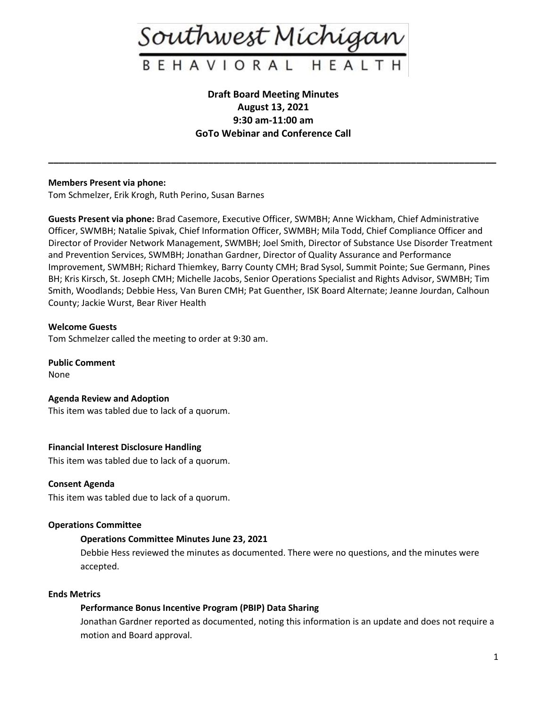

## **Draft Board Meeting Minutes August 13, 2021 9:30 am-11:00 am GoTo Webinar and Conference Call**

**\_\_\_\_\_\_\_\_\_\_\_\_\_\_\_\_\_\_\_\_\_\_\_\_\_\_\_\_\_\_\_\_\_\_\_\_\_\_\_\_\_\_\_\_\_\_\_\_\_\_\_\_\_\_\_\_\_\_\_\_\_\_\_\_\_\_\_\_\_\_\_\_\_\_\_\_\_\_\_\_\_\_\_\_**

## **Members Present via phone:**

Tom Schmelzer, Erik Krogh, Ruth Perino, Susan Barnes

**Guests Present via phone:** Brad Casemore, Executive Officer, SWMBH; Anne Wickham, Chief Administrative Officer, SWMBH; Natalie Spivak, Chief Information Officer, SWMBH; Mila Todd, Chief Compliance Officer and Director of Provider Network Management, SWMBH; Joel Smith, Director of Substance Use Disorder Treatment and Prevention Services, SWMBH; Jonathan Gardner, Director of Quality Assurance and Performance Improvement, SWMBH; Richard Thiemkey, Barry County CMH; Brad Sysol, Summit Pointe; Sue Germann, Pines BH; Kris Kirsch, St. Joseph CMH; Michelle Jacobs, Senior Operations Specialist and Rights Advisor, SWMBH; Tim Smith, Woodlands; Debbie Hess, Van Buren CMH; Pat Guenther, ISK Board Alternate; Jeanne Jourdan, Calhoun County; Jackie Wurst, Bear River Health

## **Welcome Guests**

Tom Schmelzer called the meeting to order at 9:30 am.

**Public Comment** None

**Agenda Review and Adoption** This item was tabled due to lack of a quorum.

## **Financial Interest Disclosure Handling**

This item was tabled due to lack of a quorum.

#### **Consent Agenda**

This item was tabled due to lack of a quorum.

#### **Operations Committee**

## **Operations Committee Minutes June 23, 2021**

Debbie Hess reviewed the minutes as documented. There were no questions, and the minutes were accepted.

#### **Ends Metrics**

## **Performance Bonus Incentive Program (PBIP) Data Sharing**

Jonathan Gardner reported as documented, noting this information is an update and does not require a motion and Board approval.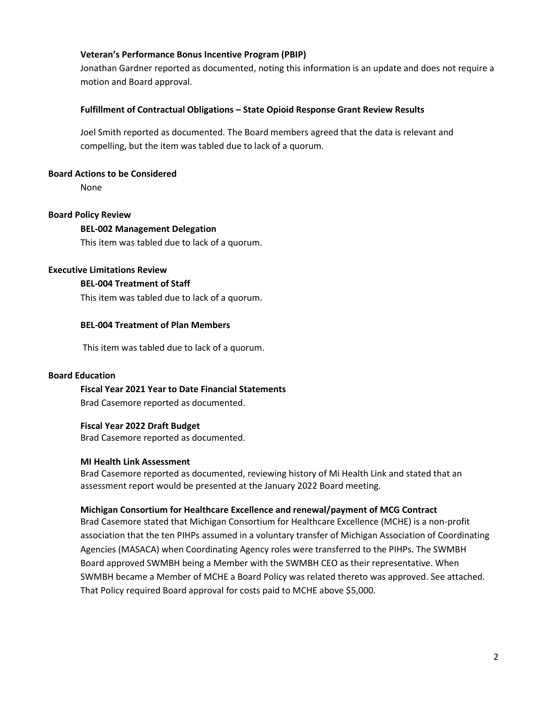## **Veteran's Performance Bonus Incentive Program (PBIP)**

Jonathan Gardner reported as documented, noting this information is an update and does not require a motion and Board approval.

## **Fulfillment of Contractual Obligations – State Opioid Response Grant Review Results**

Joel Smith reported as documented. The Board members agreed that the data is relevant and compelling, but the item was tabled due to lack of a quorum.

## **Board Actions to be Considered**

None

## **Board Policy Review**

## **BEL-002 Management Delegation**

This item was tabled due to lack of a quorum.

## **Executive Limitations Review**

#### **BEL-004 Treatment of Staff**

This item was tabled due to lack of a quorum.

## **BEL-004 Treatment of Plan Members**

This item was tabled due to lack of a quorum.

#### **Board Education**

## **Fiscal Year 2021 Year to Date Financial Statements**

Brad Casemore reported as documented.

#### **Fiscal Year 2022 Draft Budget**

Brad Casemore reported as documented.

#### **MI Health Link Assessment**

Brad Casemore reported as documented, reviewing history of Mi Health Link and stated that an assessment report would be presented at the January 2022 Board meeting.

#### **Michigan Consortium for Healthcare Excellence and renewal/payment of MCG Contract**

Brad Casemore stated that Michigan Consortium for Healthcare Excellence (MCHE) is a non-profit association that the ten PIHPs assumed in a voluntary transfer of Michigan Association of Coordinating Agencies (MASACA) when Coordinating Agency roles were transferred to the PIHPs. The SWMBH Board approved SWMBH being a Member with the SWMBH CEO as their representative. When SWMBH became a Member of MCHE a Board Policy was related thereto was approved. See attached. That Policy required Board approval for costs paid to MCHE above \$5,000.